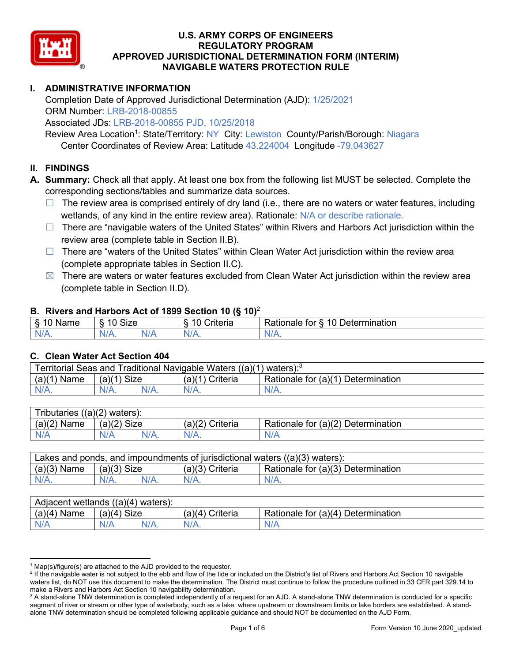

# **I. ADMINISTRATIVE INFORMATION**

Completion Date of Approved Jurisdictional Determination (AJD): 1/25/2021 ORM Number: LRB-2018-00855

Associated JDs: LRB-2018-00855 PJD, 10/25/2018

Review Area Location<sup>1</sup>: State/Territory: NY City: Lewiston County/Parish/Borough: Niagara Center Coordinates of Review Area: Latitude 43.224004 Longitude -79.043627

#### **II. FINDINGS**

**A. Summary:** Check all that apply. At least one box from the following list MUST be selected. Complete the corresponding sections/tables and summarize data sources.

- $\Box$  The review area is comprised entirely of dry land (i.e., there are no waters or water features, including wetlands, of any kind in the entire review area). Rationale: N/A or describe rationale.
- $\Box$  There are "navigable waters of the United States" within Rivers and Harbors Act jurisdiction within the review area (complete table in Section II.B).
- ☐ There are "waters of the United States" within Clean Water Act jurisdiction within the review area (complete appropriate tables in Section II.C).
- $\boxtimes$  There are waters or water features excluded from Clean Water Act jurisdiction within the review area (complete table in Section II.D).

#### **B. Rivers and Harbors Act of 1899 Section 10 (§ 10)**<sup>2</sup>

| я<br><b></b><br>'vame'<br>υ<br>ູ | Size<br>$\overline{A}$ |     | $\overline{A}$ $\overline{C}$<br>`rıterıa | $\overline{\phantom{a}}$<br>10<br>Jetermination<br>$\sim$<br>tor<br>kationale: |  |  |
|----------------------------------|------------------------|-----|-------------------------------------------|--------------------------------------------------------------------------------|--|--|
| N/L                              | "<br>'V/A.             | NIA | N/L<br>97 / TV                            | <b>IIA</b><br>n.<br>11 I N.                                                    |  |  |

#### **C. Clean Water Act Section 404**

| Territorial Seas and Traditional Navigable Waters ((a)(1)<br>` \ waters): <sup>3</sup> |                |  |                    |                                    |  |
|----------------------------------------------------------------------------------------|----------------|--|--------------------|------------------------------------|--|
| (a)(1)<br>Name                                                                         | Size<br>(a)(1) |  | (a)(1)<br>Criteria | Rationale for (a)(1) Determination |  |
|                                                                                        | $N/A$ .        |  | $N/A$ .            | $N/A$ .                            |  |

| $((a)(2)$ waters):<br>ributaries |                |         |                    |                                    |  |
|----------------------------------|----------------|---------|--------------------|------------------------------------|--|
| (a)(2)<br>Name                   | Size<br>(a)(2) |         | (a)(2)<br>Criteria | Rationale for (a)(2) Determination |  |
| N/A                              | N/A            | $N/A$ . | $N/A$ .            | N/A                                |  |

| Lakes and ponds, and impoundments of jurisdictional waters $((a)(3)$ waters): |               |  |                                                         |         |  |
|-------------------------------------------------------------------------------|---------------|--|---------------------------------------------------------|---------|--|
| $(a)(3)$ Name                                                                 | $(a)(3)$ Size |  | Rationale for (a)(3) Determination<br>$(a)(3)$ Criteria |         |  |
| $N/A$ .                                                                       | $N/A$ .       |  | $N/A$ .                                                 | $N/A$ . |  |

| Adjacent wetlands<br>$((a)(4)$ waters): |                |         |                   |                                    |  |
|-----------------------------------------|----------------|---------|-------------------|------------------------------------|--|
| (a)(4)<br>Name                          | (a)(4)<br>Size |         | (a)(4<br>Criteria | Rationale for (a)(4) Determination |  |
| N/A                                     | N/A            | $N/A$ . | $N/A$ .           | N/A                                |  |

 $1$  Map(s)/figure(s) are attached to the AJD provided to the requestor.

<sup>&</sup>lt;sup>2</sup> If the navigable water is not subject to the ebb and flow of the tide or included on the District's list of Rivers and Harbors Act Section 10 navigable waters list, do NOT use this document to make the determination. The District must continue to follow the procedure outlined in 33 CFR part 329.14 to make a Rivers and Harbors Act Section 10 navigability determination.

<sup>&</sup>lt;sup>3</sup> A stand-alone TNW determination is completed independently of a request for an AJD. A stand-alone TNW determination is conducted for a specific segment of river or stream or other type of waterbody, such as a lake, where upstream or downstream limits or lake borders are established. A standalone TNW determination should be completed following applicable guidance and should NOT be documented on the AJD Form.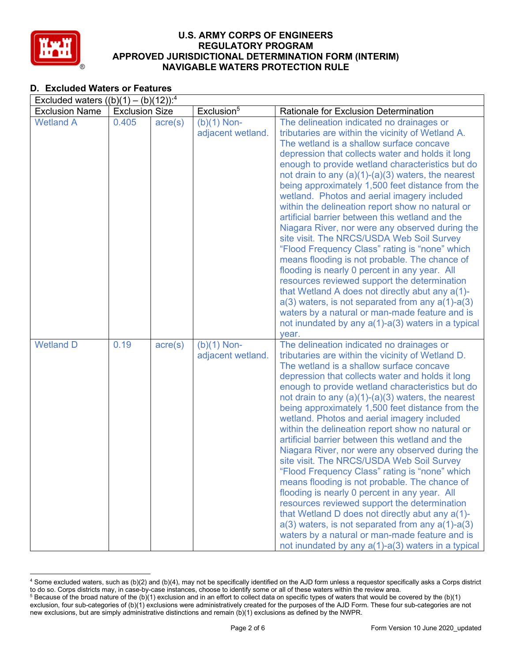

# **D. Excluded Waters or Features**

| Excluded waters $((b)(1) - (b)(12))$ : <sup>4</sup> |                       |                  |                                    |                                                                                                                                                                                                                                                                                                                                                                                                                                                                                                                                                                                                                                                                                                                                                                                                                                                                                                                                                                                                                                                          |  |
|-----------------------------------------------------|-----------------------|------------------|------------------------------------|----------------------------------------------------------------------------------------------------------------------------------------------------------------------------------------------------------------------------------------------------------------------------------------------------------------------------------------------------------------------------------------------------------------------------------------------------------------------------------------------------------------------------------------------------------------------------------------------------------------------------------------------------------------------------------------------------------------------------------------------------------------------------------------------------------------------------------------------------------------------------------------------------------------------------------------------------------------------------------------------------------------------------------------------------------|--|
| <b>Exclusion Name</b>                               | <b>Exclusion Size</b> |                  | Exclusion <sup>5</sup>             | <b>Rationale for Exclusion Determination</b>                                                                                                                                                                                                                                                                                                                                                                                                                                                                                                                                                                                                                                                                                                                                                                                                                                                                                                                                                                                                             |  |
| <b>Wetland A</b>                                    | 0.405                 | $\text{acre}(s)$ | $(b)(1)$ Non-<br>adjacent wetland. | The delineation indicated no drainages or<br>tributaries are within the vicinity of Wetland A.<br>The wetland is a shallow surface concave<br>depression that collects water and holds it long<br>enough to provide wetland characteristics but do<br>not drain to any $(a)(1)-(a)(3)$ waters, the nearest<br>being approximately 1,500 feet distance from the<br>wetland. Photos and aerial imagery included<br>within the delineation report show no natural or<br>artificial barrier between this wetland and the<br>Niagara River, nor were any observed during the<br>site visit. The NRCS/USDA Web Soil Survey<br>"Flood Frequency Class" rating is "none" which<br>means flooding is not probable. The chance of<br>flooding is nearly 0 percent in any year. All<br>resources reviewed support the determination<br>that Wetland A does not directly abut any a(1)-<br>$a(3)$ waters, is not separated from any $a(1)$ - $a(3)$<br>waters by a natural or man-made feature and is<br>not inundated by any a(1)-a(3) waters in a typical<br>year. |  |
| <b>Wetland D</b>                                    | 0.19                  | $\text{acre}(s)$ | $(b)(1)$ Non-<br>adjacent wetland. | The delineation indicated no drainages or<br>tributaries are within the vicinity of Wetland D.<br>The wetland is a shallow surface concave<br>depression that collects water and holds it long<br>enough to provide wetland characteristics but do<br>not drain to any $(a)(1)-(a)(3)$ waters, the nearest<br>being approximately 1,500 feet distance from the<br>wetland. Photos and aerial imagery included<br>within the delineation report show no natural or<br>artificial barrier between this wetland and the<br>Niagara River, nor were any observed during the<br>site visit. The NRCS/USDA Web Soil Survey<br>"Flood Frequency Class" rating is "none" which<br>means flooding is not probable. The chance of<br>flooding is nearly 0 percent in any year. All<br>resources reviewed support the determination<br>that Wetland D does not directly abut any a(1)-<br>$a(3)$ waters, is not separated from any $a(1)$ - $a(3)$<br>waters by a natural or man-made feature and is<br>not inundated by any $a(1)$ - $a(3)$ waters in a typical    |  |

<sup>4</sup> Some excluded waters, such as (b)(2) and (b)(4), may not be specifically identified on the AJD form unless a requestor specifically asks a Corps district to do so. Corps districts may, in case-by-case instances, choose to identify some or all of these waters within the review area.

 $5$  Because of the broad nature of the (b)(1) exclusion and in an effort to collect data on specific types of waters that would be covered by the (b)(1) exclusion, four sub-categories of (b)(1) exclusions were administratively created for the purposes of the AJD Form. These four sub-categories are not new exclusions, but are simply administrative distinctions and remain (b)(1) exclusions as defined by the NWPR.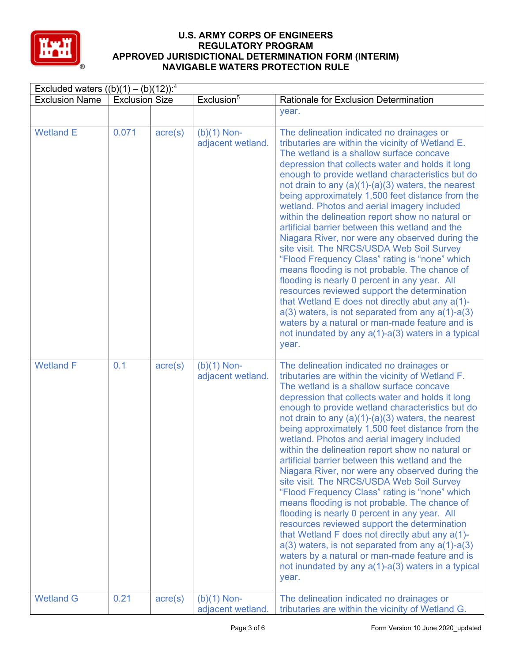

| Excluded waters $((b)(1) - (b)(12))$ : <sup>4</sup> |                       |                  |                                    |                                                                                                                                                                                                                                                                                                                                                                                                                                                                                                                                                                                                                                                                                                                                                                                                                                                                                                                                                                                                                                                                |
|-----------------------------------------------------|-----------------------|------------------|------------------------------------|----------------------------------------------------------------------------------------------------------------------------------------------------------------------------------------------------------------------------------------------------------------------------------------------------------------------------------------------------------------------------------------------------------------------------------------------------------------------------------------------------------------------------------------------------------------------------------------------------------------------------------------------------------------------------------------------------------------------------------------------------------------------------------------------------------------------------------------------------------------------------------------------------------------------------------------------------------------------------------------------------------------------------------------------------------------|
| <b>Exclusion Name</b>                               | <b>Exclusion Size</b> |                  | Exclusion <sup>5</sup>             | Rationale for Exclusion Determination                                                                                                                                                                                                                                                                                                                                                                                                                                                                                                                                                                                                                                                                                                                                                                                                                                                                                                                                                                                                                          |
|                                                     |                       |                  |                                    | year.                                                                                                                                                                                                                                                                                                                                                                                                                                                                                                                                                                                                                                                                                                                                                                                                                                                                                                                                                                                                                                                          |
| <b>Wetland E</b>                                    | 0.071                 | $\text{acre}(s)$ | $(b)(1)$ Non-<br>adjacent wetland. | The delineation indicated no drainages or<br>tributaries are within the vicinity of Wetland E.<br>The wetland is a shallow surface concave<br>depression that collects water and holds it long<br>enough to provide wetland characteristics but do<br>not drain to any $(a)(1)-(a)(3)$ waters, the nearest<br>being approximately 1,500 feet distance from the<br>wetland. Photos and aerial imagery included<br>within the delineation report show no natural or<br>artificial barrier between this wetland and the<br>Niagara River, nor were any observed during the<br>site visit. The NRCS/USDA Web Soil Survey<br>"Flood Frequency Class" rating is "none" which<br>means flooding is not probable. The chance of<br>flooding is nearly 0 percent in any year. All<br>resources reviewed support the determination<br>that Wetland E does not directly abut any a(1)-<br>$a(3)$ waters, is not separated from any $a(1)$ - $a(3)$<br>waters by a natural or man-made feature and is<br>not inundated by any $a(1)$ - $a(3)$ waters in a typical<br>year. |
| <b>Wetland F</b>                                    | 0.1                   | $\text{acre}(s)$ | $(b)(1)$ Non-<br>adjacent wetland. | The delineation indicated no drainages or<br>tributaries are within the vicinity of Wetland F.<br>The wetland is a shallow surface concave<br>depression that collects water and holds it long<br>enough to provide wetland characteristics but do<br>not drain to any $(a)(1)-(a)(3)$ waters, the nearest<br>being approximately 1,500 feet distance from the<br>wetland. Photos and aerial imagery included<br>within the delineation report show no natural or<br>artificial barrier between this wetland and the<br>Niagara River, nor were any observed during the<br>site visit. The NRCS/USDA Web Soil Survey<br>"Flood Frequency Class" rating is "none" which<br>means flooding is not probable. The chance of<br>flooding is nearly 0 percent in any year. All<br>resources reviewed support the determination<br>that Wetland F does not directly abut any a(1)-<br>$a(3)$ waters, is not separated from any $a(1)$ - $a(3)$<br>waters by a natural or man-made feature and is<br>not inundated by any a(1)-a(3) waters in a typical<br>year.       |
| <b>Wetland G</b>                                    | 0.21                  | $\text{acre}(s)$ | $(b)(1)$ Non-<br>adjacent wetland. | The delineation indicated no drainages or<br>tributaries are within the vicinity of Wetland G.                                                                                                                                                                                                                                                                                                                                                                                                                                                                                                                                                                                                                                                                                                                                                                                                                                                                                                                                                                 |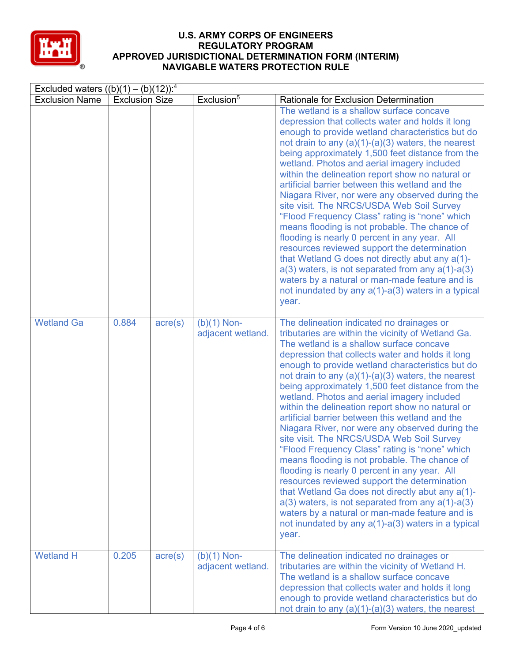

| Excluded waters $((b)(1) - (b)(12))$ : <sup>4</sup> |                       |                  |                                    |                                                                                                                                                                                                                                                                                                                                                                                                                                                                                                                                                                                                                                                                                                                                                                                                                                                                                                                                                                                                                                                            |  |
|-----------------------------------------------------|-----------------------|------------------|------------------------------------|------------------------------------------------------------------------------------------------------------------------------------------------------------------------------------------------------------------------------------------------------------------------------------------------------------------------------------------------------------------------------------------------------------------------------------------------------------------------------------------------------------------------------------------------------------------------------------------------------------------------------------------------------------------------------------------------------------------------------------------------------------------------------------------------------------------------------------------------------------------------------------------------------------------------------------------------------------------------------------------------------------------------------------------------------------|--|
| <b>Exclusion Name</b>                               | <b>Exclusion Size</b> |                  | Exclusion <sup>5</sup>             | Rationale for Exclusion Determination                                                                                                                                                                                                                                                                                                                                                                                                                                                                                                                                                                                                                                                                                                                                                                                                                                                                                                                                                                                                                      |  |
|                                                     |                       |                  |                                    | The wetland is a shallow surface concave<br>depression that collects water and holds it long<br>enough to provide wetland characteristics but do<br>not drain to any $(a)(1)-(a)(3)$ waters, the nearest<br>being approximately 1,500 feet distance from the<br>wetland. Photos and aerial imagery included<br>within the delineation report show no natural or<br>artificial barrier between this wetland and the<br>Niagara River, nor were any observed during the<br>site visit. The NRCS/USDA Web Soil Survey<br>"Flood Frequency Class" rating is "none" which<br>means flooding is not probable. The chance of<br>flooding is nearly 0 percent in any year. All<br>resources reviewed support the determination<br>that Wetland G does not directly abut any a(1)-<br>$a(3)$ waters, is not separated from any $a(1)$ -a(3)<br>waters by a natural or man-made feature and is<br>not inundated by any $a(1)$ - $a(3)$ waters in a typical<br>year.                                                                                                  |  |
| <b>Wetland Ga</b>                                   | 0.884                 | $\text{acre}(s)$ | $(b)(1)$ Non-<br>adjacent wetland. | The delineation indicated no drainages or<br>tributaries are within the vicinity of Wetland Ga.<br>The wetland is a shallow surface concave<br>depression that collects water and holds it long<br>enough to provide wetland characteristics but do<br>not drain to any $(a)(1)-(a)(3)$ waters, the nearest<br>being approximately 1,500 feet distance from the<br>wetland. Photos and aerial imagery included<br>within the delineation report show no natural or<br>artificial barrier between this wetland and the<br>Niagara River, nor were any observed during the<br>site visit. The NRCS/USDA Web Soil Survey<br>"Flood Frequency Class" rating is "none" which<br>means flooding is not probable. The chance of<br>flooding is nearly 0 percent in any year. All<br>resources reviewed support the determination<br>that Wetland Ga does not directly abut any a(1)-<br>$a(3)$ waters, is not separated from any $a(1)$ - $a(3)$<br>waters by a natural or man-made feature and is<br>not inundated by any a(1)-a(3) waters in a typical<br>year. |  |
| <b>Wetland H</b>                                    | 0.205                 | $\text{acre}(s)$ | $(b)(1)$ Non-<br>adjacent wetland. | The delineation indicated no drainages or<br>tributaries are within the vicinity of Wetland H.<br>The wetland is a shallow surface concave<br>depression that collects water and holds it long<br>enough to provide wetland characteristics but do<br>not drain to any $(a)(1)-(a)(3)$ waters, the nearest                                                                                                                                                                                                                                                                                                                                                                                                                                                                                                                                                                                                                                                                                                                                                 |  |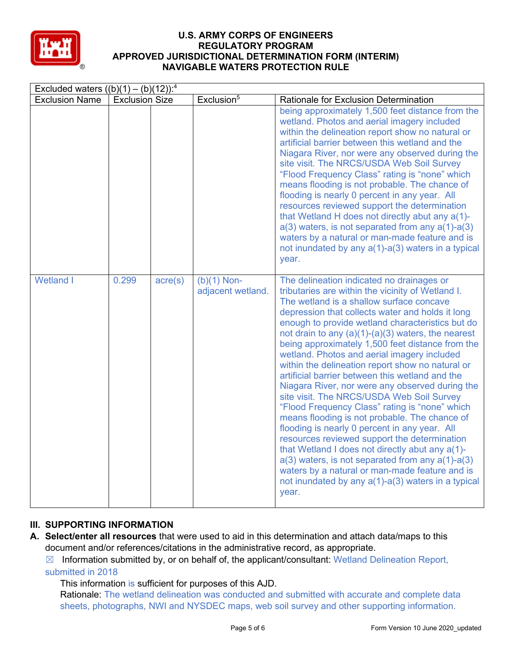

| Excluded waters $((b)(1) - (b)(12))$ : <sup>4</sup> |                       |                  |                                    |                                                                                                                                                                                                                                                                                                                                                                                                                                                                                                                                                                                                                                                                                                                                                                                                                                                                                                                                                                                                                                                       |
|-----------------------------------------------------|-----------------------|------------------|------------------------------------|-------------------------------------------------------------------------------------------------------------------------------------------------------------------------------------------------------------------------------------------------------------------------------------------------------------------------------------------------------------------------------------------------------------------------------------------------------------------------------------------------------------------------------------------------------------------------------------------------------------------------------------------------------------------------------------------------------------------------------------------------------------------------------------------------------------------------------------------------------------------------------------------------------------------------------------------------------------------------------------------------------------------------------------------------------|
| <b>Exclusion Name</b>                               | <b>Exclusion Size</b> |                  | Exclusion <sup>5</sup>             | Rationale for Exclusion Determination                                                                                                                                                                                                                                                                                                                                                                                                                                                                                                                                                                                                                                                                                                                                                                                                                                                                                                                                                                                                                 |
|                                                     |                       |                  |                                    | being approximately 1,500 feet distance from the<br>wetland. Photos and aerial imagery included<br>within the delineation report show no natural or<br>artificial barrier between this wetland and the<br>Niagara River, nor were any observed during the<br>site visit. The NRCS/USDA Web Soil Survey<br>"Flood Frequency Class" rating is "none" which<br>means flooding is not probable. The chance of<br>flooding is nearly 0 percent in any year. All<br>resources reviewed support the determination<br>that Wetland H does not directly abut any a(1)-<br>$a(3)$ waters, is not separated from any $a(1)$ -a(3)<br>waters by a natural or man-made feature and is<br>not inundated by any a(1)-a(3) waters in a typical<br>year.                                                                                                                                                                                                                                                                                                               |
| <b>Wetland I</b>                                    | 0.299                 | $\text{acre}(s)$ | $(b)(1)$ Non-<br>adjacent wetland. | The delineation indicated no drainages or<br>tributaries are within the vicinity of Wetland I.<br>The wetland is a shallow surface concave<br>depression that collects water and holds it long<br>enough to provide wetland characteristics but do<br>not drain to any $(a)(1)-(a)(3)$ waters, the nearest<br>being approximately 1,500 feet distance from the<br>wetland. Photos and aerial imagery included<br>within the delineation report show no natural or<br>artificial barrier between this wetland and the<br>Niagara River, nor were any observed during the<br>site visit. The NRCS/USDA Web Soil Survey<br>"Flood Frequency Class" rating is "none" which<br>means flooding is not probable. The chance of<br>flooding is nearly 0 percent in any year. All<br>resources reviewed support the determination<br>that Wetland I does not directly abut any a(1)-<br>$a(3)$ waters, is not separated from any $a(1)$ -a(3)<br>waters by a natural or man-made feature and is<br>not inundated by any a(1)-a(3) waters in a typical<br>year. |

# **III. SUPPORTING INFORMATION**

**A. Select/enter all resources** that were used to aid in this determination and attach data/maps to this document and/or references/citations in the administrative record, as appropriate.

 $\boxtimes$  Information submitted by, or on behalf of, the applicant/consultant: Wetland Delineation Report, submitted in 2018

This information is sufficient for purposes of this AJD.

Rationale: The wetland delineation was conducted and submitted with accurate and complete data sheets, photographs, NWI and NYSDEC maps, web soil survey and other supporting information.